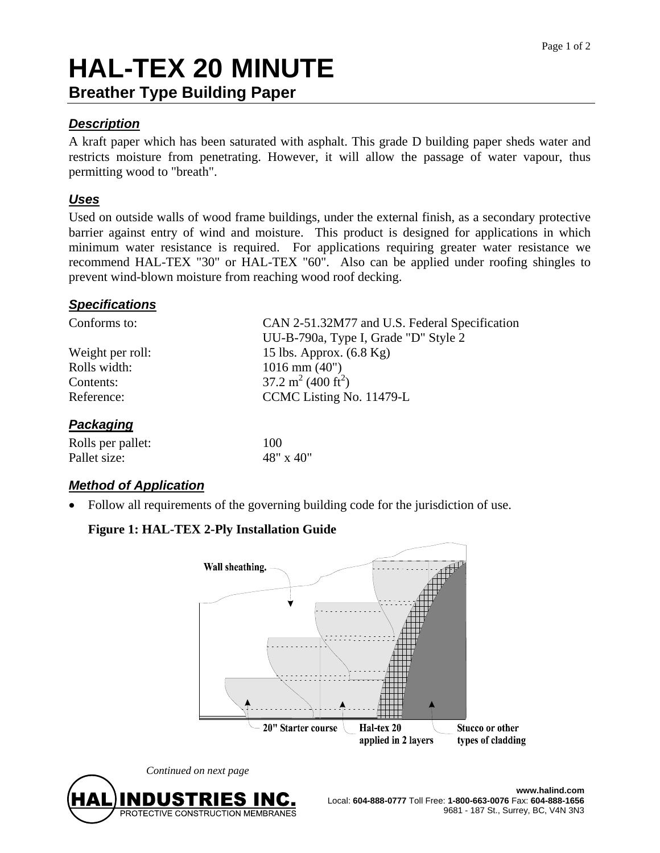# **HAL-TEX 20 MINUTE Breather Type Building Paper**

## *Description*

A kraft paper which has been saturated with asphalt. This grade D building paper sheds water and restricts moisture from penetrating. However, it will allow the passage of water vapour, thus permitting wood to "breath".

## *Uses*

Used on outside walls of wood frame buildings, under the external finish, as a secondary protective barrier against entry of wind and moisture. This product is designed for applications in which minimum water resistance is required. For applications requiring greater water resistance we recommend HAL-TEX "30" or HAL-TEX "60". Also can be applied under roofing shingles to prevent wind-blown moisture from reaching wood roof decking.

#### *Specifications*

| Conforms to:      | CAN 2-51.32M77 and U.S. Federal Specification |
|-------------------|-----------------------------------------------|
|                   | UU-B-790a, Type I, Grade "D" Style 2          |
| Weight per roll:  | 15 lbs. Approx. $(6.8 \text{ Kg})$            |
| Rolls width:      | $1016$ mm $(40")$                             |
| Contents:         | 37.2 m <sup>2</sup> (400 ft <sup>2</sup> )    |
| Reference:        | CCMC Listing No. 11479-L                      |
| Packaging         |                                               |
| Rolls per pallet: | 100                                           |
| Pallet size:      | 48" x 40"                                     |

# *Method of Application*

Follow all requirements of the governing building code for the jurisdiction of use.

# **Figure 1: HAL-TEX 2-Ply Installation Guide**